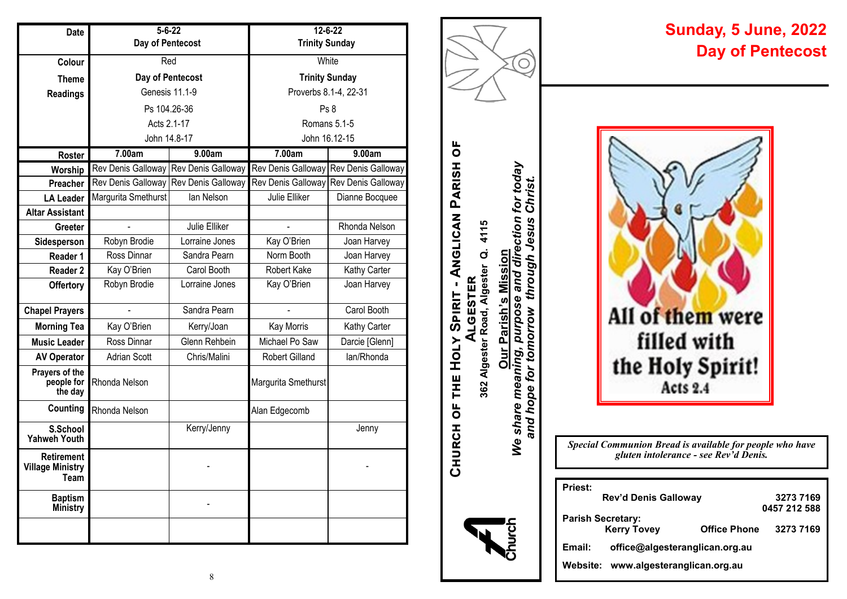| Date                                          | $5 - 6 - 22$        |                    | $12 - 6 - 22$         |                    |  |
|-----------------------------------------------|---------------------|--------------------|-----------------------|--------------------|--|
|                                               | Day of Pentecost    |                    | <b>Trinity Sunday</b> |                    |  |
| Colour                                        | Red                 |                    | White                 |                    |  |
| <b>Theme</b>                                  | Day of Pentecost    |                    | <b>Trinity Sunday</b> |                    |  |
| <b>Readings</b>                               | Genesis 11.1-9      |                    | Proverbs 8.1-4, 22-31 |                    |  |
|                                               | Ps 104.26-36        |                    | Ps 8                  |                    |  |
|                                               | Acts 2.1-17         |                    | Romans 5.1-5          |                    |  |
|                                               | John 14.8-17        |                    | John 16.12-15         |                    |  |
| Roster                                        | 7.00am              | 9.00am             | 7.00am                | 9.00am             |  |
| Worship                                       | Rev Denis Galloway  | Rev Denis Galloway | Rev Denis Galloway    | Rev Denis Galloway |  |
| Preacher                                      | Rev Denis Galloway  | Rev Denis Galloway | Rev Denis Galloway    | Rev Denis Galloway |  |
| <b>LA Leader</b>                              | Margurita Smethurst | lan Nelson         | Julie Elliker         | Dianne Bocquee     |  |
| <b>Altar Assistant</b>                        |                     |                    |                       |                    |  |
| Greeter                                       |                     | Julie Elliker      |                       | Rhonda Nelson      |  |
| Sidesperson                                   | Robyn Brodie        | Lorraine Jones     | Kay O'Brien           | Joan Harvey        |  |
| Reader 1                                      | Ross Dinnar         | Sandra Pearn       | Norm Booth            | Joan Harvey        |  |
| <b>Reader 2</b>                               | Kay O'Brien         | Carol Booth        | Robert Kake           | Kathy Carter       |  |
| <b>Offertory</b>                              | Robyn Brodie        | Lorraine Jones     | Kay O'Brien           | Joan Harvey        |  |
| <b>Chapel Prayers</b>                         |                     | Sandra Pearn       |                       | Carol Booth        |  |
| <b>Morning Tea</b>                            | Kay O'Brien         | Kerry/Joan         | Kay Morris            | Kathy Carter       |  |
| <b>Music Leader</b>                           | Ross Dinnar         | Glenn Rehbein      | Michael Po Saw        | Darcie [Glenn]     |  |
| <b>AV Operator</b>                            | <b>Adrian Scott</b> | Chris/Malini       | Robert Gilland        | lan/Rhonda         |  |
| Prayers of the<br>people for<br>the day       | Rhonda Nelson       |                    | Margurita Smethurst   |                    |  |
| Counting                                      | Rhonda Nelson       |                    | Alan Edgecomb         |                    |  |
| S.School<br><b>Yahweh Youth</b>               |                     | Kerry/Jenny        |                       | Jenny              |  |
| Retirement<br><b>Village Ministry</b><br>Team |                     |                    |                       |                    |  |
| <b>Baptism</b><br><b>Ministry</b>             |                     |                    |                       |                    |  |
|                                               |                     |                    |                       |                    |  |



**Church of the Holy Spirit - Anglican Parish of** 

CHURCH OF THE HOLY SPIRIT - ANGLICAN PARISH OF

ALGESTER<br>362 Algester Road, Algester Q. 4115 **362 Algester Road, Algester Q. 4115**

**Our Parish's Mission**

hurch

# **Sunday, 5 June, 2022 Day of Pentecost**

*Special Communion Bread is available for people who have gluten intolerance - see Rev'd Denis.*

| <b>Priest:</b> |                                  |                     |              |
|----------------|----------------------------------|---------------------|--------------|
|                | Rev'd Denis Galloway             |                     | 32737169     |
|                |                                  |                     | 0457 212 588 |
|                | Parish Secretary:<br>Kerry Tovey | <b>Office Phone</b> | 3273 7169    |
| Email:         | office@algesteranglican.org.au   |                     |              |
| Website:       | www.algesteranglican.org.au      |                     |              |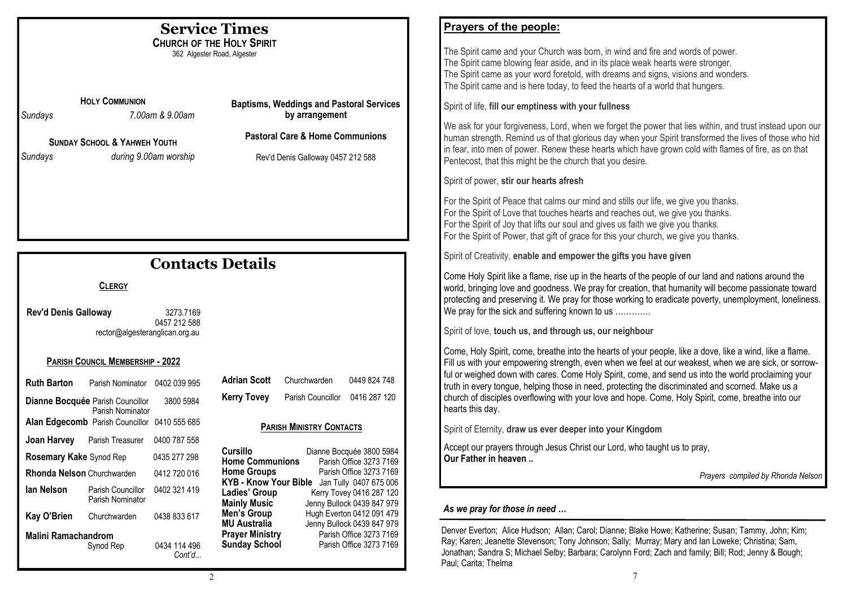| <b>Service Times</b><br><b>CHURCH OF THE HOLY SPIRIT</b><br>362 Algester Road, Algester<br><b>HOLY COMMUNION</b><br><b>Baptisms, Weddings and Pastoral Services</b><br>by arrangement<br>7.00am & 9.00am<br>Sundays<br><b>Pastoral Care &amp; Home Communions</b><br><b>SUNDAY SCHOOL &amp; YAHWEH YOUTH</b><br>during 9.00am worship<br>Sundays<br>Rev'd Denis Galloway 0457 212 588                                                                                                                                                                                                                                                                                           | Prayers of the people:<br>The Spirit came and your Church was born, in wind and fire and words of power.<br>The Spirit came blowing fear aside, and in its place weak hearts were stronger.<br>The Spirit came as your word foretold, with dreams and signs, visions and wonders.<br>The Spirit came and is here today, to feed the hearts of a world that hungers.<br>Spirit of life, fill our emptiness with your fullness<br>We ask for your forgiveness, Lord, when we forget the power that lies within, and trust instead upon our<br>human strength. Remind us of that glorious day when your Spirit transformed the lives of those who hid<br>in fear, into men of power. Renew these hearts which have grown cold with flames of fire, as on that<br>Pentecost, that this might be the church that you desire.<br>Spirit of power, stir our hearts afresh<br>For the Spirit of Peace that calms our mind and stills our life, we give you thanks.<br>For the Spirit of Love that touches hearts and reaches out, we give you thanks.<br>For the Spirit of Joy that lifts our soul and gives us faith we give you thanks.<br>For the Spirit of Power, that gift of grace for this your church, we give you thanks. |
|---------------------------------------------------------------------------------------------------------------------------------------------------------------------------------------------------------------------------------------------------------------------------------------------------------------------------------------------------------------------------------------------------------------------------------------------------------------------------------------------------------------------------------------------------------------------------------------------------------------------------------------------------------------------------------|----------------------------------------------------------------------------------------------------------------------------------------------------------------------------------------------------------------------------------------------------------------------------------------------------------------------------------------------------------------------------------------------------------------------------------------------------------------------------------------------------------------------------------------------------------------------------------------------------------------------------------------------------------------------------------------------------------------------------------------------------------------------------------------------------------------------------------------------------------------------------------------------------------------------------------------------------------------------------------------------------------------------------------------------------------------------------------------------------------------------------------------------------------------------------------------------------------------------------|
| <b>Contacts Details</b><br><b>CLERGY</b><br><b>Rev'd Denis Galloway</b><br>3273.7169<br>0457 212 588<br>rector@algesteranglican.org.au                                                                                                                                                                                                                                                                                                                                                                                                                                                                                                                                          | Spirit of Creativity, enable and empower the gifts you have given<br>Come Holy Spirit like a flame, rise up in the hearts of the people of our land and nations around the<br>world, bringing love and goodness. We pray for creation, that humanity will become passionate toward<br>protecting and preserving it. We pray for those working to eradicate poverty, unemployment, loneliness.<br>We pray for the sick and suffering known to us<br>Spirit of love, touch us, and through us, our neighbour                                                                                                                                                                                                                                                                                                                                                                                                                                                                                                                                                                                                                                                                                                                 |
| PARISH COUNCIL MEMBERSHIP - 2022<br><b>Adrian Scott</b><br>Churchwarden<br><b>Ruth Barton</b><br>Parish Nominator 0402 039 995<br><b>Kerry Tovey</b><br>Parish Councillor<br>Dianne Bocquée Parish Councillor<br>3800 5984<br>Parish Nominator<br>Alan Edgecomb Parish Councillor 0410 555 685<br><b>PARISH MINISTRY CONTACTS</b><br>Joan Harvey<br>Parish Treasurer 0400 787 558<br><b>Cursillo</b><br>Dianne Bocquée 3800 5984<br>Rosemary Kake Synod Rep<br>0435 277 298<br><b>Home Communions</b><br>Parish Office 3273 7169<br><b>Home Groups</b><br>Parish Office 3273 7169<br>Rhonda Nelson Churchwarden<br>0412 720 016<br>KYB - Know Your Bible Jan Tully 0407 675 006 | Come, Holy Spirit, come, breathe into the hearts of your people, like a dove, like a wind, like a flame.<br>Fill us with your empowering strength, even when we feel at our weakest, when we are sick, or sorrow-<br>ful or weighed down with cares. Come Holy Spirit, come, and send us into the world proclaiming your<br>0449 824 748<br>truth in every tongue, helping those in need, protecting the discriminated and scorned. Make us a<br>0416 287 120<br>church of disciples overflowing with your love and hope. Come, Holy Spirit, come, breathe into our<br>hearts this day.<br>Spirit of Eternity, draw us ever deeper into your Kingdom<br>Accept our prayers through Jesus Christ our Lord, who taught us to pray,<br>Our Father in heaven<br>Prayers compiled by Rhonda Nelson                                                                                                                                                                                                                                                                                                                                                                                                                              |
| lan Nelson<br>Parish Councillor<br>0402 321 419<br>Ladies' Group<br>Kerry Tovey 0416 287 120<br>Parish Nominator<br><b>Mainly Music</b><br>Jenny Bullock 0439 847 979<br><b>Men's Group</b><br>Hugh Everton 0412 091 479<br>Kay O'Brien<br>Churchwarden<br>0438 833 617<br><b>MU Australia</b><br>Jenny Bullock 0439 847 979<br><b>Prayer Ministry</b><br>Parish Office 3273 7169<br><b>Malini Ramachandrom</b><br><b>Sunday School</b><br>Parish Office 3273 7169<br>0434 114 496<br>Synod Rep<br>Cont'd<br>2                                                                                                                                                                  | As we pray for those in need<br>Denver Everton; Alice Hudson; Allan; Carol; Dianne; Blake Howe; Katherine; Susan; Tammy, John; Kim;<br>Ray; Karen; Jeanette Stevenson; Tony Johnson; Sally; Murray; Mary and Ian Loweke; Christina; Sam,<br>Jonathan; Sandra S; Michael Selby; Barbara; Carolynn Ford; Zach and family; Bill; Rod; Jenny & Bough;<br>Paul; Carita; Thelma<br>7                                                                                                                                                                                                                                                                                                                                                                                                                                                                                                                                                                                                                                                                                                                                                                                                                                             |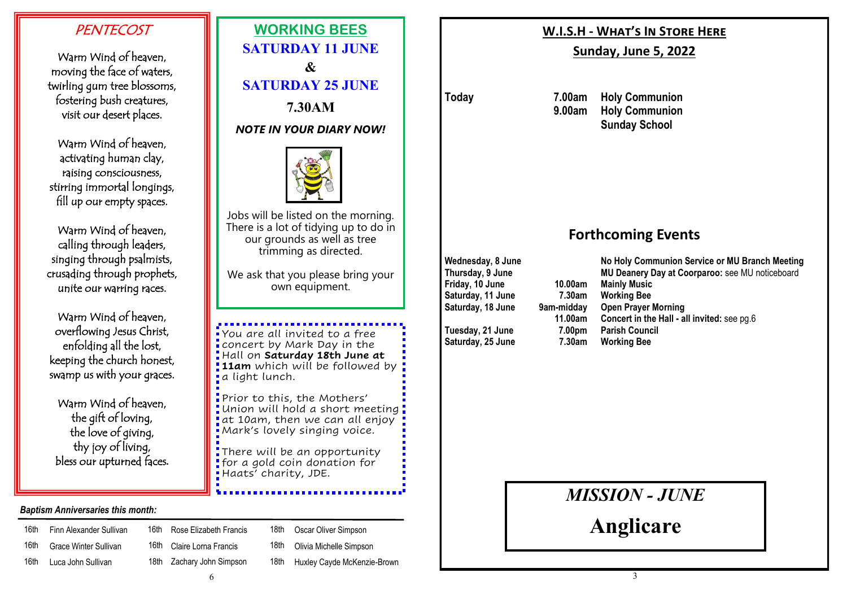# **PENTECOST**

Warm Wind of heaven, moving the face of waters, twirling gum tree blossoms, fostering bush creatures, visit our desert places.

Warm Wind of heaven, activating human clay, raising consciousness, stirring immortal longings, fill up our empty spaces.

Warm Wind of heaven, calling through leaders, singing through psalmists, crusading through prophets, unite our warring races.

Warm Wind of heaven, overflowing Jesus Christ, enfolding all the lost, keeping the church honest, swamp us with your graces.

Warm Wind of heaven, the gift of loving, the love of giving, thy joy of living, bless our upturned faces**.**

#### *Baptism Anniversaries this month:*

| 16th | Finn Alexander Sullivan | 16th | Rose Elizabeth Francis    |
|------|-------------------------|------|---------------------------|
| 16th | Grace Winter Sullivan   |      | 16th Claire Lorna Francis |
| 16th | Luca John Sullivan      |      | 18th Zachary John Simpson |
|      |                         |      |                           |



18th Oscar Oliver Simpson 18th Olivia Michelle Simpson

18th Huxley Cayde McKenzie-Brown

### **W.I.S.H - What's In Store Here**

## **Sunday, June 5, 2022**

**Today 7.00am Holy Communion 9.00am Holy Communion Sunday School**

# **Forthcoming Events**

**Friday, 10 June 10.00am Mainly Music Saturday, 11 June 7.30am Working Bee**

**Saturday, 25 June 7.30am Working Bee**

**Wednesday, 8 June No Holy Communion Service or MU Branch Meeting Thursday, 9 June MU Deanery Day at Coorparoo:** see MU noticeboard **Sam-midday Open Prayer Morning 11.00am Concert in the Hall - all invited:** see pg.6 **Tuesday, 21 June 7.00pm Parish Council**

*MISSION - JUNE*

**Anglicare**